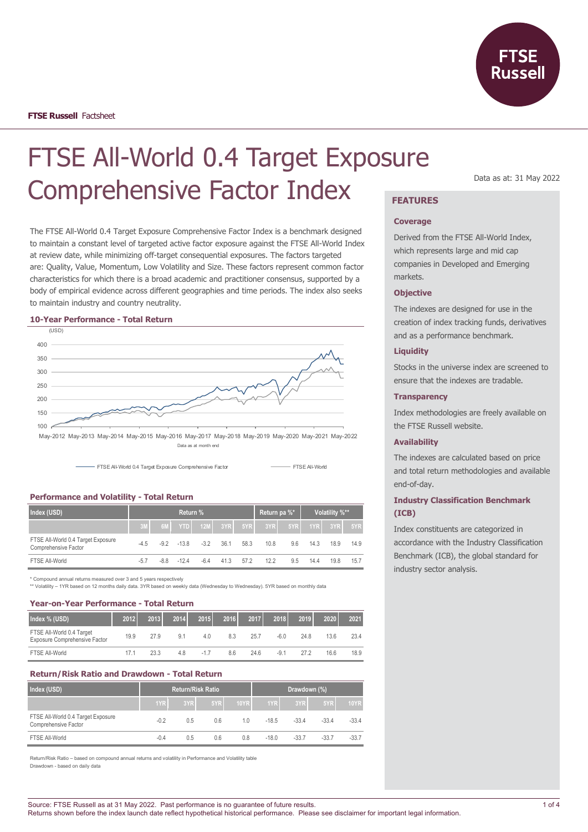

# FTSE All-World 0.4 Target Exposure Comprehensive Factor Index **FEATURES**

The FTSE All-World 0.4 Target Exposure Comprehensive Factor Index is a benchmark designed to maintain a constant level of targeted active factor exposure against the FTSE All-World Index at review date, while minimizing off-target consequential exposures. The factors targeted are: Quality, Value, Momentum, Low Volatility and Size. These factors represent common factor characteristics for which there is a broad academic and practitioner consensus, supported by a body of empirical evidence across different geographies and time periods. The index also seeks to maintain industry and country neutrality.

#### **10-Year Performance - Total Return**



Data as at month end



## **Performance and Volatility - Total Return**

| Index (USD)                                                |        | Return pa %* |            | Volatility %** |      |      |      |     |      |             |      |
|------------------------------------------------------------|--------|--------------|------------|----------------|------|------|------|-----|------|-------------|------|
|                                                            | 3M     | 6M           | <b>NTD</b> | $12M$ 3YR      |      | 5YR  | 3YR  | 5YR |      | $1YR$ $3YR$ | 5YR  |
| FTSE All-World 0.4 Target Exposure<br>Comprehensive Factor | $-4.5$ | $-9.2$       | $-13.8$    | $-3.2$         | 36.1 | 58.3 | 10.8 | 9.6 | 14.3 | 18.9        | 14.9 |
| FTSE All-World                                             | $-5.7$ | $-8.8$       | $-124$     | $-6.4$         | 41.3 | 57.2 | 12.2 | 9.5 | 14.4 | 19.8        | 15.7 |

\* Compound annual returns measured over 3 and 5 years respectively

\*\* Volatility – 1YR based on 12 months daily data. 3YR based on weekly data (Wednesday to Wednesday). 5YR based on monthly data

#### **Year-on-Year Performance - Total Return**

| Index % (USD)                                              | 2012 | 2013 | 2014           | 2015  | 2016 | 2017 | 2018   | 2019 | 2020 | 2021 |
|------------------------------------------------------------|------|------|----------------|-------|------|------|--------|------|------|------|
| FTSE All-World 0.4 Target<br>Exposure Comprehensive Factor | 19.9 | 27.9 | 9 <sub>1</sub> | 4.0   | 8.3  | 25.7 | $-6.0$ | 24.8 | 13.6 | 23.4 |
| FTSE All-World                                             | 17.1 | 23.3 | 4.8            | $-17$ | 8.6  | 24.6 | $-91$  | 272  | 16.6 | 18.9 |

## **Return/Risk Ratio and Drawdown - Total Return**

| Index (USD)                                                |        |     | <b>Return/Risk Ratio</b> |      | Drawdown (%) |         |         |             |
|------------------------------------------------------------|--------|-----|--------------------------|------|--------------|---------|---------|-------------|
|                                                            | 1YR    | 3YR | 5YR                      | 10YR | 1YR          | 3YR     | 5YR     | <b>10YR</b> |
| FTSE All-World 0.4 Target Exposure<br>Comprehensive Factor | $-0.2$ | 0.5 | 0.6                      | 10   | $-18.5$      | $-33.4$ | $-33.4$ | $-33.4$     |
| FTSE All-World                                             | $-0.4$ | 0.5 | 0.6                      | 0.8  | $-18.0$      | $-33.7$ | $-33.7$ | $-33.7$     |

Return/Risk Ratio – based on compound annual returns and volatility in Performance and Volatility table Drawdown - based on daily data

#### Data as at: 31 May 2022

#### **Coverage**

Derived from the FTSE All-World Index, which represents large and mid cap companies in Developed and Emerging markets.

#### **Objective**

The indexes are designed for use in the creation of index tracking funds, derivatives and as a performance benchmark.

## **Liquidity**

Stocks in the universe index are screened to ensure that the indexes are tradable.

#### **Transparency**

Index methodologies are freely available on the FTSE Russell website.

#### **Availability**

The indexes are calculated based on price and total return methodologies and available end-of-day.

## **Industry Classification Benchmark (ICB)**

Index constituents are categorized in accordance with the Industry Classification Benchmark (ICB), the global standard for industry sector analysis.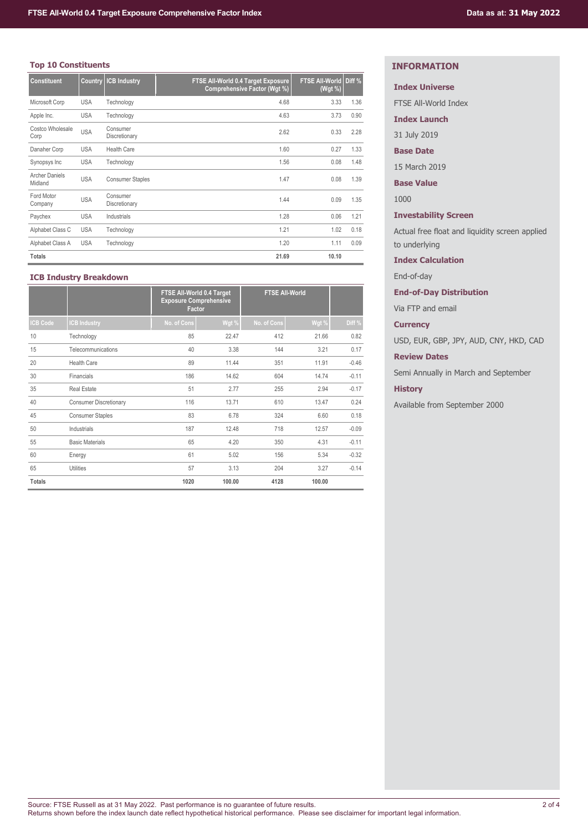## **Top 10 Constituents**

| <b>Constituent</b>               |            | <b>Country ICB Industry</b> | FTSE All-World 0.4 Target Exposure<br>Comprehensive Factor (Wgt %) | FTSE All-World Diff %<br>(Wgt %) |      |
|----------------------------------|------------|-----------------------------|--------------------------------------------------------------------|----------------------------------|------|
| Microsoft Corp                   | <b>USA</b> | Technology                  | 4.68                                                               | 3.33                             | 1.36 |
| Apple Inc.                       | <b>USA</b> | Technology                  | 4.63                                                               | 3.73                             | 0.90 |
| Costco Wholesale<br>Corp         | <b>USA</b> | Consumer<br>Discretionary   | 2.62                                                               | 0.33                             | 2.28 |
| Danaher Corp                     | <b>USA</b> | <b>Health Care</b>          | 1.60                                                               | 0.27                             | 1.33 |
| Synopsys Inc                     | <b>USA</b> | Technology                  | 1.56                                                               | 0.08                             | 1.48 |
| <b>Archer Daniels</b><br>Midland | <b>USA</b> | <b>Consumer Staples</b>     | 1.47                                                               | 0.08                             | 1.39 |
| Ford Motor<br>Company            | <b>USA</b> | Consumer<br>Discretionary   | 1.44                                                               | 0.09                             | 1.35 |
| Paychex                          | <b>USA</b> | Industrials                 | 1.28                                                               | 0.06                             | 1.21 |
| Alphabet Class C                 | <b>USA</b> | Technology                  | 1.21                                                               | 1.02                             | 0.18 |
| Alphabet Class A                 | <b>USA</b> | Technology                  | 1.20                                                               | 1.11                             | 0.09 |
| <b>Totals</b>                    |            |                             | 21.69                                                              | 10.10                            |      |

## **ICB Industry Breakdown**

|                 |                               | FTSE All-World 0.4 Target<br><b>Exposure Comprehensive</b><br>Factor |        | <b>FTSE All-World</b> |        |         |
|-----------------|-------------------------------|----------------------------------------------------------------------|--------|-----------------------|--------|---------|
| <b>ICB Code</b> | <b>CB Industry</b>            | No. of Cons                                                          | Wgt %  | No. of Cons           | Wgt %  | Diff %  |
| 10              | Technology                    | 85                                                                   | 22.47  | 412                   | 21.66  | 0.82    |
| 15              | Telecommunications            | 40                                                                   | 3.38   | 144                   | 3.21   | 0.17    |
| 20              | <b>Health Care</b>            | 89                                                                   | 11.44  | 351                   | 11.91  | $-0.46$ |
| 30              | Financials                    | 186                                                                  | 14.62  | 604                   | 14.74  | $-0.11$ |
| 35              | <b>Real Estate</b>            | 51                                                                   | 2.77   | 255                   | 2.94   | $-0.17$ |
| 40              | <b>Consumer Discretionary</b> | 116                                                                  | 13.71  | 610                   | 13.47  | 0.24    |
| 45              | <b>Consumer Staples</b>       | 83                                                                   | 6.78   | 324                   | 6.60   | 0.18    |
| 50              | Industrials                   | 187                                                                  | 12.48  | 718                   | 12.57  | $-0.09$ |
| 55              | <b>Basic Materials</b>        | 65                                                                   | 4.20   | 350                   | 4.31   | $-0.11$ |
| 60              | Energy                        | 61                                                                   | 5.02   | 156                   | 5.34   | $-0.32$ |
| 65              | <b>Utilities</b>              | 57                                                                   | 3.13   | 204                   | 3.27   | $-0.14$ |
| <b>Totals</b>   |                               | 1020                                                                 | 100.00 | 4128                  | 100.00 |         |

## **INFORMATION**

## **Index Universe**

FTSE All-World Index

**Index Launch**

31 July 2019

## **Base Date**

15 March 2019

**Base Value**

1000

## **Investability Screen**

Actual free float and liquidity screen applied to underlying

## **Index Calculation**

End-of-day

## **End-of-Day Distribution**

Via FTP and email

## **Currency**

USD, EUR, GBP, JPY, AUD, CNY, HKD, CAD

## **Review Dates**

Semi Annually in March and September

## **History**

Available from September 2000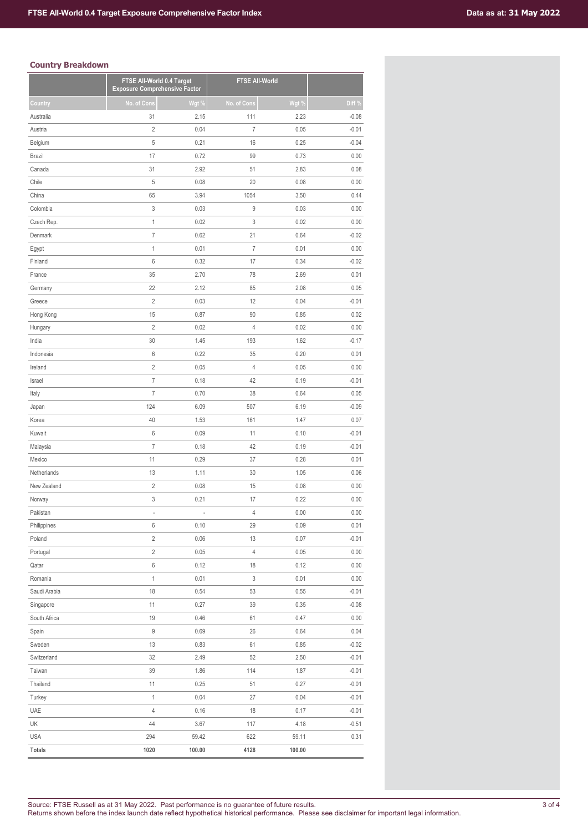## **Country Breakdown**

|               | FTSE All-World 0.4 Target<br><b>Exposure Comprehensive Factor</b> |        | <b>FTSE All-World</b> |        |         |
|---------------|-------------------------------------------------------------------|--------|-----------------------|--------|---------|
| Country       | No. of Cons                                                       | Wgt %  | No. of Cons           | Wgt %  | Diff %  |
| Australia     | 31                                                                | 2.15   | 111                   | 2.23   | $-0.08$ |
| Austria       | $\overline{2}$                                                    | 0.04   | $\overline{7}$        | 0.05   | $-0.01$ |
| Belgium       | 5                                                                 | 0.21   | 16                    | 0.25   | $-0.04$ |
| Brazil        | 17                                                                | 0.72   | 99                    | 0.73   | 0.00    |
| Canada        | 31                                                                | 2.92   | 51                    | 2.83   | 0.08    |
| Chile         | 5                                                                 | 0.08   | 20                    | 0.08   | 0.00    |
| China         | 65                                                                | 3.94   | 1054                  | 3.50   | 0.44    |
| Colombia      | 3                                                                 | 0.03   | 9                     | 0.03   | 0.00    |
| Czech Rep.    | $\mathbf{1}$                                                      | 0.02   | 3                     | 0.02   | 0.00    |
| Denmark       | $\overline{7}$                                                    | 0.62   | 21                    | 0.64   | $-0.02$ |
| Egypt         | $\mathbf{1}$                                                      | 0.01   | $\overline{I}$        | 0.01   | 0.00    |
| Finland       | 6                                                                 | 0.32   | 17                    | 0.34   | $-0.02$ |
| France        | 35                                                                | 2.70   | 78                    | 2.69   | 0.01    |
| Germany       | 22                                                                | 2.12   | 85                    | 2.08   | 0.05    |
| Greece        | $\overline{c}$                                                    | 0.03   | 12                    | 0.04   | $-0.01$ |
| Hong Kong     | 15                                                                | 0.87   | 90                    | 0.85   | 0.02    |
| Hungary       | $\overline{2}$                                                    | 0.02   | $\overline{4}$        | 0.02   | 0.00    |
| India         | 30                                                                | 1.45   | 193                   | 1.62   | $-0.17$ |
| Indonesia     | 6                                                                 | 0.22   | 35                    | 0.20   | 0.01    |
| Ireland       | $\overline{c}$                                                    | 0.05   | $\overline{4}$        | 0.05   | 0.00    |
| Israel        | $\overline{7}$                                                    | 0.18   | 42                    | 0.19   | $-0.01$ |
| Italy         | $\overline{7}$                                                    | 0.70   | 38                    | 0.64   | 0.05    |
| Japan         | 124                                                               | 6.09   | 507                   | 6.19   | $-0.09$ |
| Korea         | 40                                                                | 1.53   | 161                   | 1.47   | 0.07    |
| Kuwait        | 6                                                                 | 0.09   | 11                    | 0.10   | $-0.01$ |
| Malaysia      | $\overline{7}$                                                    | 0.18   | 42                    | 0.19   | $-0.01$ |
| Mexico        | 11                                                                | 0.29   | 37                    | 0.28   | 0.01    |
| Netherlands   | 13                                                                | 1.11   | 30                    | 1.05   | 0.06    |
| New Zealand   | $\overline{c}$                                                    | 0.08   | 15                    | 0.08   | 0.00    |
| Norway        | 3                                                                 | 0.21   | 17                    | 0.22   | 0.00    |
| Pakistan      |                                                                   |        | 4                     | 0.00   | 0.00    |
| Philippines   | 6                                                                 | 0.10   | 29                    | 0.09   | 0.01    |
| Poland        | $\overline{c}$                                                    | 0.06   | 13                    | 0.07   | $-0.01$ |
| Portugal      | $\overline{c}$                                                    | 0.05   | 4                     | 0.05   | 0.00    |
| Qatar         | 6                                                                 | 0.12   | 18                    | 0.12   | 0.00    |
| Romania       | $\mathbf{1}$                                                      | 0.01   | 3                     | 0.01   | 0.00    |
| Saudi Arabia  | 18                                                                | 0.54   | 53                    | 0.55   | $-0.01$ |
| Singapore     | 11                                                                | 0.27   | 39                    | 0.35   | $-0.08$ |
| South Africa  | 19                                                                | 0.46   | 61                    | 0.47   | 0.00    |
| Spain         | 9                                                                 | 0.69   | 26                    | 0.64   | 0.04    |
| Sweden        | 13                                                                | 0.83   | 61                    | 0.85   | $-0.02$ |
| Switzerland   | 32                                                                | 2.49   | 52                    | 2.50   | $-0.01$ |
| Taiwan        | 39                                                                | 1.86   | 114                   | 1.87   | $-0.01$ |
| Thailand      | 11                                                                | 0.25   | 51                    | 0.27   | $-0.01$ |
| Turkey        | $\mathbf 1$                                                       | 0.04   | 27                    | 0.04   | $-0.01$ |
| UAE           | 4                                                                 | 0.16   | 18                    | 0.17   | $-0.01$ |
| UK            | 44                                                                | 3.67   | 117                   | 4.18   | $-0.51$ |
| <b>USA</b>    | 294                                                               | 59.42  | 622                   | 59.11  | 0.31    |
|               |                                                                   |        |                       |        |         |
| <b>Totals</b> | 1020                                                              | 100.00 | 4128                  | 100.00 |         |